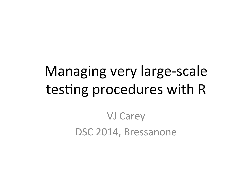## Managing very large-scale testing procedures with R

**VJ Carey** DSC 2014, Bressanone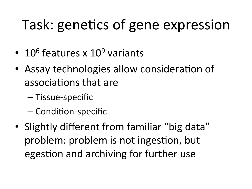# Task: genetics of gene expression

- 10<sup>6</sup> features x  $10^9$  variants
- Assay technologies allow consideration of associations that are
	- Tissue-specific
	- Condition-specific
- Slightly different from familiar "big data" problem: problem is not ingestion, but egestion and archiving for further use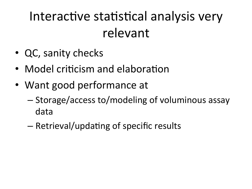### Interactive statistical analysis very relevant

- QC, sanity checks
- Model criticism and elaboration
- Want good performance at
	- Storage/access to/modeling of voluminous assay data
	- Retrieval/updating of specific results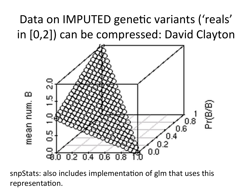### Data on IMPUTED genetic variants ('reals' in [0,2]) can be compressed: David Clayton



snpStats: also includes implementation of glm that uses this representation.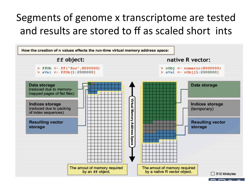#### Segments of genome x transcriptome are tested and results are stored to ff as scaled short ints

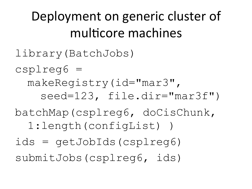### Deployment on generic cluster of multicore machines

library(BatchJobs)

csplreg6 =

makeRegistry(id="mar3", seed=123, file.dir="mar3f")

batchMap(csplreg6, doCisChunk,

1:length(configList) )

ids = getJobIds(csplreg6)

submitJobs(csplreg6, ids)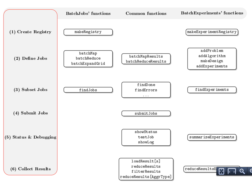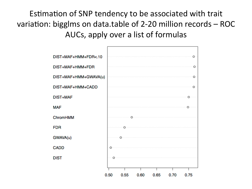Estimation of SNP tendency to be associated with trait variation: bigglms on data.table of 2-20 million records - ROC AUCs, apply over a list of formulas

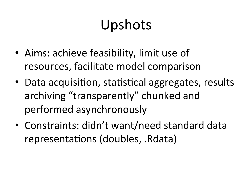# Upshots

- Aims: achieve feasibility, limit use of resources, facilitate model comparison
- Data acquisition, statistical aggregates, results archiving "transparently" chunked and performed asynchronously
- Constraints: didn't want/need standard data representations (doubles, .Rdata)